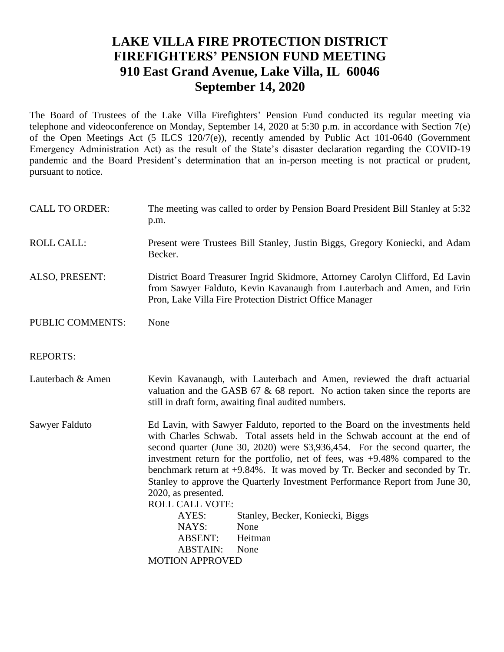### **LAKE VILLA FIRE PROTECTION DISTRICT FIREFIGHTERS' PENSION FUND MEETING 910 East Grand Avenue, Lake Villa, IL 60046 September 14, 2020**

The Board of Trustees of the Lake Villa Firefighters' Pension Fund conducted its regular meeting via telephone and videoconference on Monday, September 14, 2020 at 5:30 p.m. in accordance with Section 7(e) of the Open Meetings Act (5 ILCS 120/7(e)), recently amended by Public Act 101-0640 (Government Emergency Administration Act) as the result of the State's disaster declaration regarding the COVID-19 pandemic and the Board President's determination that an in-person meeting is not practical or prudent, pursuant to notice.

| <b>CALL TO ORDER:</b>   | The meeting was called to order by Pension Board President Bill Stanley at 5:32<br>p.m.                                                                                                                                                                                                                                                                                                                                                                                                                                                                                                                                                                                                   |
|-------------------------|-------------------------------------------------------------------------------------------------------------------------------------------------------------------------------------------------------------------------------------------------------------------------------------------------------------------------------------------------------------------------------------------------------------------------------------------------------------------------------------------------------------------------------------------------------------------------------------------------------------------------------------------------------------------------------------------|
| <b>ROLL CALL:</b>       | Present were Trustees Bill Stanley, Justin Biggs, Gregory Koniecki, and Adam<br>Becker.                                                                                                                                                                                                                                                                                                                                                                                                                                                                                                                                                                                                   |
| ALSO, PRESENT:          | District Board Treasurer Ingrid Skidmore, Attorney Carolyn Clifford, Ed Lavin<br>from Sawyer Falduto, Kevin Kavanaugh from Lauterbach and Amen, and Erin<br>Pron, Lake Villa Fire Protection District Office Manager                                                                                                                                                                                                                                                                                                                                                                                                                                                                      |
| <b>PUBLIC COMMENTS:</b> | None                                                                                                                                                                                                                                                                                                                                                                                                                                                                                                                                                                                                                                                                                      |
| <b>REPORTS:</b>         |                                                                                                                                                                                                                                                                                                                                                                                                                                                                                                                                                                                                                                                                                           |
| Lauterbach & Amen       | Kevin Kavanaugh, with Lauterbach and Amen, reviewed the draft actuarial<br>valuation and the GASB $67 \& 68$ report. No action taken since the reports are<br>still in draft form, awaiting final audited numbers.                                                                                                                                                                                                                                                                                                                                                                                                                                                                        |
| Sawyer Falduto          | Ed Lavin, with Sawyer Falduto, reported to the Board on the investments held<br>with Charles Schwab. Total assets held in the Schwab account at the end of<br>second quarter (June 30, 2020) were \$3,936,454. For the second quarter, the<br>investment return for the portfolio, net of fees, was +9.48% compared to the<br>benchmark return at +9.84%. It was moved by Tr. Becker and seconded by Tr.<br>Stanley to approve the Quarterly Investment Performance Report from June 30,<br>2020, as presented.<br><b>ROLL CALL VOTE:</b><br>AYES:<br>Stanley, Becker, Koniecki, Biggs<br>NAYS:<br>None<br><b>ABSENT:</b><br>Heitman<br><b>ABSTAIN:</b><br>None<br><b>MOTION APPROVED</b> |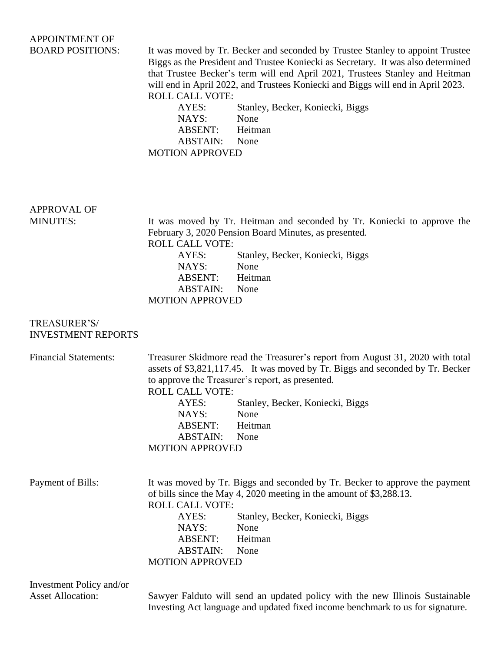## APPOINTMENT OF

BOARD POSITIONS: It was moved by Tr. Becker and seconded by Trustee Stanley to appoint Trustee Biggs as the President and Trustee Koniecki as Secretary. It was also determined that Trustee Becker's term will end April 2021, Trustees Stanley and Heitman will end in April 2022, and Trustees Koniecki and Biggs will end in April 2023. ROLL CALL VOTE:

> AYES: Stanley, Becker, Koniecki, Biggs NAYS: None ABSENT: Heitman ABSTAIN: None MOTION APPROVED

# APPROVAL OF

MINUTES: It was moved by Tr. Heitman and seconded by Tr. Koniecki to approve the February 3, 2020 Pension Board Minutes, as presented. ROLL CALL VOTE: AYES: Stanley, Becker, Koniecki, Biggs NAYS: None ABSENT: Heitman ABSTAIN: None MOTION APPROVED

#### TREASURER'S/ INVESTMENT REPORTS

| <b>Financial Statements:</b> | Treasurer Skidmore read the Treasurer's report from August 31, 2020 with total |                                  |  |  |
|------------------------------|--------------------------------------------------------------------------------|----------------------------------|--|--|
|                              | assets of \$3,821,117.45. It was moved by Tr. Biggs and seconded by Tr. Becker |                                  |  |  |
|                              | to approve the Treasurer's report, as presented.                               |                                  |  |  |
|                              | <b>ROLL CALL VOTE:</b>                                                         |                                  |  |  |
|                              | AYES:                                                                          | Stanley, Becker, Koniecki, Biggs |  |  |
|                              | NAYS:                                                                          | None                             |  |  |
|                              | ABSENT:                                                                        | Heitman                          |  |  |
|                              | <b>ABSTAIN:</b>                                                                | None                             |  |  |
|                              | <b>MOTION APPROVED</b>                                                         |                                  |  |  |
|                              |                                                                                |                                  |  |  |
| Payment of Bills:            | It was moved by Tr. Biggs and seconded by Tr. Becker to approve the payment    |                                  |  |  |
|                              | of bills since the May 4, 2020 meeting in the amount of \$3,288.13.            |                                  |  |  |
|                              | <b>ROLL CALL VOTE:</b>                                                         |                                  |  |  |
|                              | AYES:                                                                          | Stanley, Becker, Koniecki, Biggs |  |  |
|                              | NAYS:                                                                          | None                             |  |  |
|                              | ABSENT:                                                                        | Heitman                          |  |  |
|                              | <b>ABSTAIN:</b>                                                                | None                             |  |  |
|                              | <b>MOTION APPROVED</b>                                                         |                                  |  |  |
| Investment Policy and/or     |                                                                                |                                  |  |  |
|                              |                                                                                |                                  |  |  |

Asset Allocation: Sawyer Falduto will send an updated policy with the new Illinois Sustainable Investing Act language and updated fixed income benchmark to us for signature.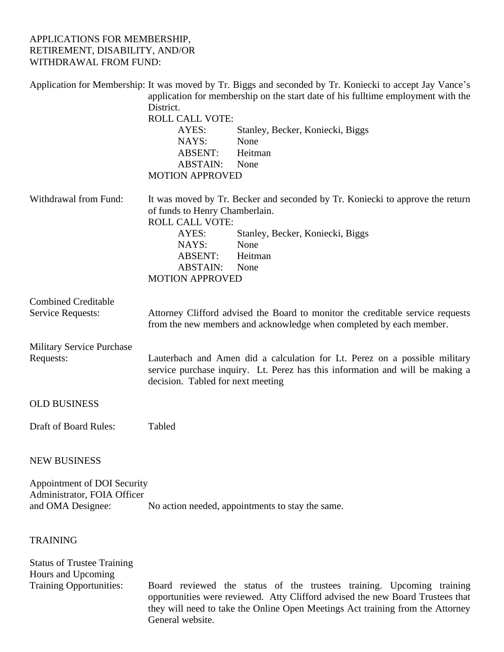#### APPLICATIONS FOR MEMBERSHIP, RETIREMENT, DISABILITY, AND/OR WITHDRAWAL FROM FUND:

|                                                                                           | Application for Membership: It was moved by Tr. Biggs and seconded by Tr. Koniecki to accept Jay Vance's<br>application for membership on the start date of his fulltime employment with the<br>District.                                                                          |  |  |
|-------------------------------------------------------------------------------------------|------------------------------------------------------------------------------------------------------------------------------------------------------------------------------------------------------------------------------------------------------------------------------------|--|--|
|                                                                                           | <b>ROLL CALL VOTE:</b><br>AYES:<br>Stanley, Becker, Koniecki, Biggs<br>NAYS:<br>None<br>Heitman<br>ABSENT:<br><b>ABSTAIN:</b><br>None<br><b>MOTION APPROVED</b>                                                                                                                    |  |  |
| Withdrawal from Fund:                                                                     | It was moved by Tr. Becker and seconded by Tr. Koniecki to approve the return<br>of funds to Henry Chamberlain.<br><b>ROLL CALL VOTE:</b><br>AYES:<br>Stanley, Becker, Koniecki, Biggs<br>NAYS:<br>None<br><b>ABSENT:</b><br>Heitman<br>ABSTAIN:<br>None<br><b>MOTION APPROVED</b> |  |  |
| <b>Combined Creditable</b>                                                                |                                                                                                                                                                                                                                                                                    |  |  |
| Service Requests:                                                                         | Attorney Clifford advised the Board to monitor the creditable service requests<br>from the new members and acknowledge when completed by each member.                                                                                                                              |  |  |
| <b>Military Service Purchase</b><br>Requests:                                             | Lauterbach and Amen did a calculation for Lt. Perez on a possible military<br>service purchase inquiry. Lt. Perez has this information and will be making a<br>decision. Tabled for next meeting                                                                                   |  |  |
| <b>OLD BUSINESS</b>                                                                       |                                                                                                                                                                                                                                                                                    |  |  |
| Draft of Board Rules:                                                                     | Tabled                                                                                                                                                                                                                                                                             |  |  |
| <b>NEW BUSINESS</b>                                                                       |                                                                                                                                                                                                                                                                                    |  |  |
| Appointment of DOI Security<br>Administrator, FOIA Officer<br>and OMA Designee:           | No action needed, appointments to stay the same.                                                                                                                                                                                                                                   |  |  |
| <b>TRAINING</b>                                                                           |                                                                                                                                                                                                                                                                                    |  |  |
| <b>Status of Trustee Training</b><br>Hours and Upcoming<br><b>Training Opportunities:</b> | Board reviewed the status of the trustees training. Upcoming training<br>opportunities were reviewed. Atty Clifford advised the new Board Trustees that<br>they will need to take the Online Open Meetings Act training from the Attorney<br>General website.                      |  |  |